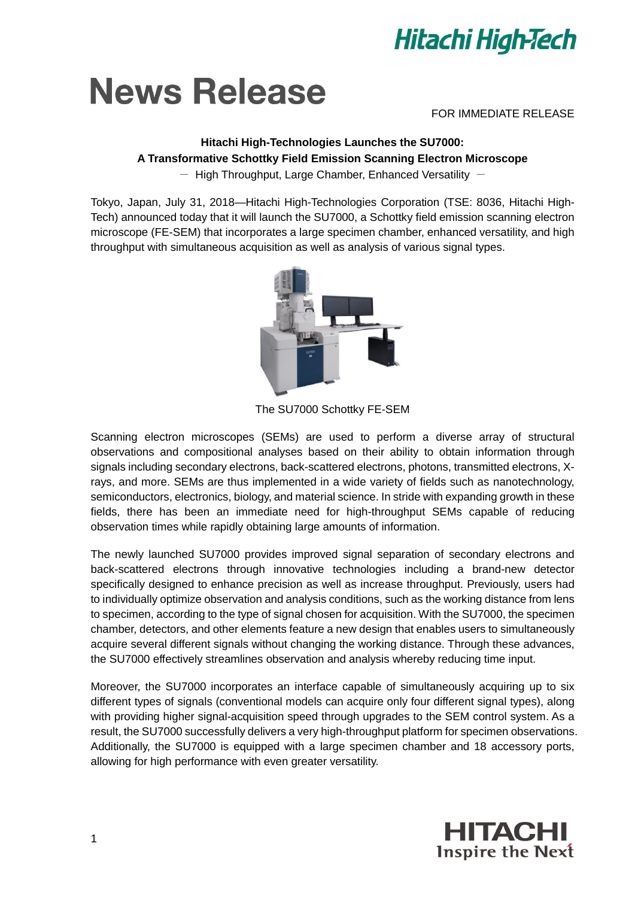

# **News Release**

FOR IMMEDIATE RELEASE

# **Hitachi High-Technologies Launches the SU7000: A Transformative Schottky Field Emission Scanning Electron Microscope**

 $-$  High Throughput, Large Chamber, Enhanced Versatility  $-$ 

Tokyo, Japan, July 31, 2018—Hitachi High-Technologies Corporation (TSE: 8036, Hitachi High-Tech) announced today that it will launch the SU7000, a Schottky field emission scanning electron microscope (FE-SEM) that incorporates a large specimen chamber, enhanced versatility, and high throughput with simultaneous acquisition as well as analysis of various signal types.



The SU7000 Schottky FE-SEM

Scanning electron microscopes (SEMs) are used to perform a diverse array of structural observations and compositional analyses based on their ability to obtain information through signals including secondary electrons, back-scattered electrons, photons, transmitted electrons, Xrays, and more. SEMs are thus implemented in a wide variety of fields such as nanotechnology, semiconductors, electronics, biology, and material science. In stride with expanding growth in these fields, there has been an immediate need for high-throughput SEMs capable of reducing observation times while rapidly obtaining large amounts of information.

The newly launched SU7000 provides improved signal separation of secondary electrons and back-scattered electrons through innovative technologies including a brand-new detector specifically designed to enhance precision as well as increase throughput. Previously, users had to individually optimize observation and analysis conditions, such as the working distance from lens to specimen, according to the type of signal chosen for acquisition. With the SU7000, the specimen chamber, detectors, and other elements feature a new design that enables users to simultaneously acquire several different signals without changing the working distance. Through these advances, the SU7000 effectively streamlines observation and analysis whereby reducing time input.

Moreover, the SU7000 incorporates an interface capable of simultaneously acquiring up to six different types of signals (conventional models can acquire only four different signal types), along with providing higher signal-acquisition speed through upgrades to the SEM control system. As a result, the SU7000 successfully delivers a very high-throughput platform for specimen observations. Additionally, the SU7000 is equipped with a large specimen chamber and 18 accessory ports, allowing for high performance with even greater versatility.